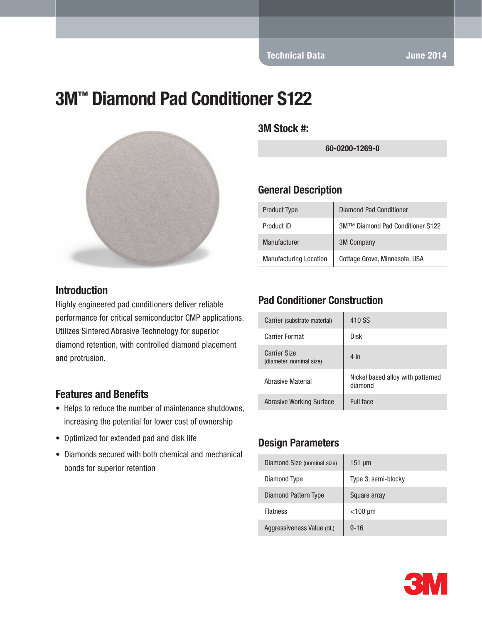# 3M™ Diamond Pad Conditioner S122



#### **Introduction**

Highly engineered pad conditioners deliver reliable performance for critical semiconductor CMP applications. Utilizes Sintered Abrasive Technology for superior diamond retention, with controlled diamond placement and protrusion.

#### Features and Benefits

- Helps to reduce the number of maintenance shutdowns, increasing the potential for lower cost of ownership
- Optimized for extended pad and disk life
- Diamonds secured with both chemical and mechanical bonds for superior retention

3M Stock #:

60-0200-1269-0

#### General Description

| <b>Product Type</b>           | Diamond Pad Conditioner          |
|-------------------------------|----------------------------------|
| Product ID                    | 3M™ Diamond Pad Conditioner S122 |
| Manufacturer                  | <b>3M Company</b>                |
| <b>Manufacturing Location</b> | Cottage Grove, Minnesota, USA    |

#### Pad Conditioner Construction

| Carrier (substrate material)                    | 410 SS                                       |
|-------------------------------------------------|----------------------------------------------|
| <b>Carrier Format</b>                           | Disk                                         |
| <b>Carrier Size</b><br>(diameter, nominal size) | $4$ in                                       |
| Abrasive Material                               | Nickel based alloy with patterned<br>diamond |
| Abrasive Working Surface                        | Full face                                    |

#### Design Parameters

| Diamond Size (nominal size) | $151 \mu m$         |
|-----------------------------|---------------------|
| Diamond Type                | Type 3, semi-blocky |
| Diamond Pattern Type        | Square array        |
| <b>Flatness</b>             | $<$ 100 µm          |
| Aggressiveness Value (BL)   | $9 - 16$            |